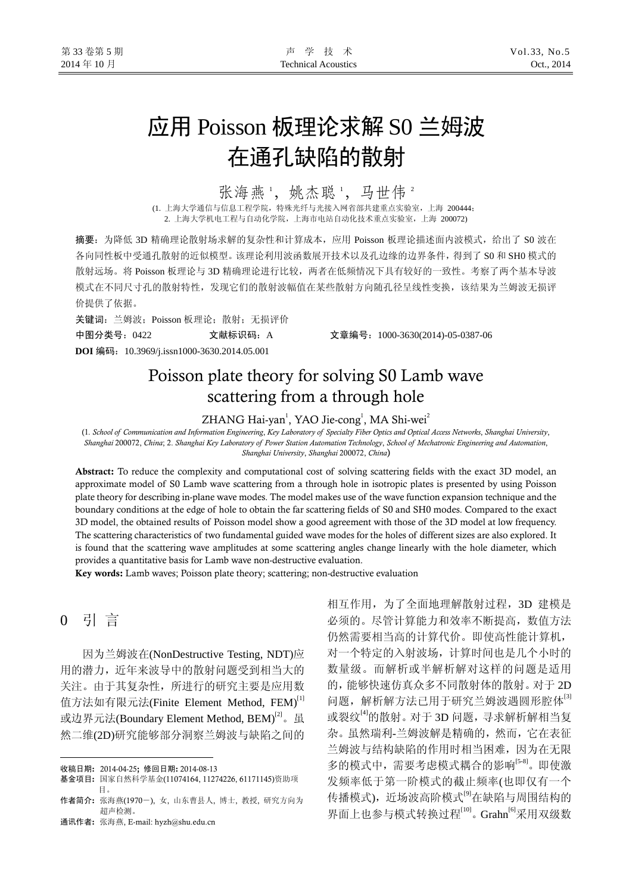# 应用 Poisson 板理论求解 S0 兰姆波 在通孔缺陷的散射

## 张海燕1,姚杰聪1,马世伟2

(1. 上海大学通信与信息工程学院,特殊光纤与光接入网省部共建重点实验室,上海 200444; 2. 上海大学机电工程与自动化学院,上海市电站自动化技术重点实验室,上海 200072)

摘要:为降低 3D 精确理论散射场求解的复杂性和计算成本,应用 Poisson 板理论描述面内波模式,给出了 S0 波在 各向同性板中受通孔散射的近似模型。该理论利用波函数展开技术以及孔边缘的边界条件,得到了 S0 和 SH0 模式的 散射远场。将 Poisson 板理论与 3D 精确理论进行比较,两者在低频情况下具有较好的一致性。考察了两个基本导波 模式在不同尺寸孔的散射特性,发现它们的散射波幅值在某些散射方向随孔径呈线性变换,该结果为兰姆波无损评 价提供了依据。

关键词:兰姆波;Poisson 板理论;散射;无损评价 中图分类号:0422 文献标识码:A 文章编号:1000-3630(2014)-05-0387-06 **DOI** 编码:10.3969/j.issn1000-3630.2014.05.001

# Poisson plate theory for solving S0 Lamb wave scattering from a through hole

ZHANG Hai-yan<sup>1</sup>, YAO Jie-cong<sup>1</sup>, MA Shi-wei<sup>2</sup>

(1*. School of Communication and Information Engineering*, *Key Laboratory of Specialty Fiber Optics and Optical Access Networks*, *Shanghai University*, *Shanghai* 200072, *China*; 2. *Shanghai Key Laboratory of Power Station Automation Technology*, *School of Mechatronic Engineering and Automation*, *Shanghai University*, *Shanghai* 200072, *China*)

Abstract: To reduce the complexity and computational cost of solving scattering fields with the exact 3D model, an approximate model of S0 Lamb wave scattering from a through hole in isotropic plates is presented by using Poisson plate theory for describing in-plane wave modes. The model makes use of the wave function expansion technique and the boundary conditions at the edge of hole to obtain the far scattering fields of S0 and SH0 modes. Compared to the exact 3D model, the obtained results of Poisson model show a good agreement with those of the 3D model at low frequency. The scattering characteristics of two fundamental guided wave modes for the holes of different sizes are also explored. It is found that the scattering wave amplitudes at some scattering angles change linearly with the hole diameter, which provides a quantitative basis for Lamb wave non-destructive evaluation.

Key words: Lamb waves; Poisson plate theory; scattering; non-destructive evaluation

## 0 引 言

 $\overline{a}$ 

因为兰姆波在(NonDestructive Testing, NDT)应 用的潜力,近年来波导中的散射问题受到相当大的 关注。由于其复杂性,所进行的研究主要是应用数 值方法如有限元法(Finite Element Method, FEM)[1] 或边界元法(Boundary Element Method, BEM)<sup>[2]</sup>。虽 然二维(2D)研究能够部分洞察兰姆波与缺陷之间的

通讯作者: 张海燕, E-mail: hyzh@shu.edu.cn

相互作用,为了全面地理解散射过程,3D 建模是 必须的。尽管计算能力和效率不断提高,数值方法 仍然需要相当高的计算代价。即使高性能计算机, 对一个特定的入射波场,计算时间也是几个小时的 数量级。而解析或半解析解对这样的问题是适用 的,能够快速仿真众多不同散射体的散射。对于 2D 问题, 解析解方法已用于研究兰姆波遇圆形腔体<sup>[3]</sup> 或裂纹[4]的散射。对于 3D 问题, 寻求解析解相当复 杂。虽然瑞利-兰姆波解是精确的,然而,它在表征 兰姆波与结构缺陷的作用时相当困难,因为在无限 多的模式中,需要考虑模式耦合的影响<sup>[5-8]</sup>。即使激 发频率低于第一阶模式的截止频率(也即仅有一个 传播模式), 近场波高阶模式<sup>[9]</sup>在缺陷与周围结构的 界面上也参与模式转换过程<sup>[10]</sup>。Grahn<sup>[6]</sup>采用双级数

收稿日期: 2014-04-25; 修回日期: 2014-08-13

基金项目: 国家自然科学基金(11074164, 11274226, 61171145)资助项 目。

作者简介: 张海燕(1970-), 女, 山东曹县人, 博士, 教授, 研究方向为 超声检测。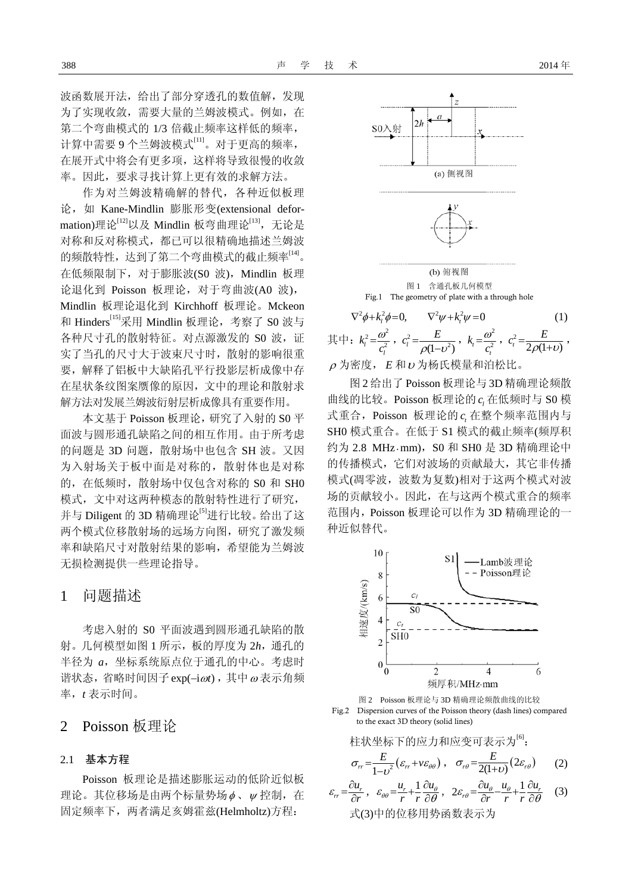波函数展开法,给出了部分穿透孔的数值解,发现 为了实现收敛,需要大量的兰姆波模式。例如,在 第二个弯曲模式的 1/3 倍截止频率这样低的频率, 计算中需要 9 个兰姆波模式[11]。对于更高的频率, 在展开式中将会有更多项,这样将导致很慢的收敛 率。因此,要求寻找计算上更有效的求解方法。

作为对兰姆波精确解的替代,各种近似板理 论,如 Kane-Mindlin 膨胀形变(extensional deformation)理论[12]以及 Mindlin 板弯曲理论[13], 无论是 对称和反对称模式,都已可以很精确地描述兰姆波 的频散特性,达到了第二个弯曲模式的截止频率<sup>[14]</sup>。 在低频限制下,对于膨胀波(S0 波),Mindlin 板理 论退化到 Poisson 板理论,对于弯曲波(A0 波), Mindlin 板理论退化到 Kirchhoff 板理论。Mckeon 和 Hinders[15]采用 Mindlin 板理论,考察了 S0 波与 各种尺寸孔的散射特征。对点源激发的 S0 波, 证 实了当孔的尺寸大于波束尺寸时,散射的影响很重 要,解释了铝板中大缺陷孔平行投影层析成像中存 在星状条纹图案赝像的原因,文中的理论和散射求 解方法对发展兰姆波衍射层析成像具有重要作用。

本文基于 Poisson 板理论,研究了入射的 S0 平 面波与圆形通孔缺陷之间的相互作用。由于所考虑 的问题是 3D 问题, 散射场中也包含 SH 波。又因 为入射场关于板中面是对称的,散射体也是对称 的, 在低频时, 散射场中仅包含对称的 S0 和 SH0 模式,文中对这两种模态的散射特性进行了研究, 并与 Diligent 的 3D 精确理论<sup>[5]</sup>进行比较。给出了这 两个模式位移散射场的远场方向图,研究了激发频 率和缺陷尺寸对散射结果的影响,希望能为兰姆波 无损检测提供一些理论指导。

### 1 问题描述

考虑入射的 S0 平面波遇到圆形通孔缺陷的散 射。几何模型如图 1 所示,板的厚度为 2*h*,通孔的 半径为 *a*,坐标系统原点位于通孔的中心。考虑时 谐状态,省略时间因子exp(-iωt), 其中ω表示角频 率,*t* 表示时间。

## 2 Poisson 板理论

#### 2.1 基本方程

Poisson 板理论是描述膨胀运动的低阶近似板 理论。其位移场是由两个标量势场 φ、 ν 控制, 在 固定频率下,两者满足亥姆霍兹(Helmholtz)方程:



其中:  $k_l^2 = \frac{\omega^2}{c_l^2}$  $k_l^2 = \frac{a}{c}$  $=\frac{\omega}{c_l^2}$ ,  $c_l^2 = \frac{E}{\rho(1-v^2)}$  $c_i^2 = \frac{E}{\rho(1 - v^2)}$ ,  $k_t = \frac{\omega^2}{c_t^2}$  $k_{i} = \frac{a}{c}$  $=\frac{\omega}{c_{i}^{2}}$ ,  $c_{i}^{2}=\frac{E}{2\rho(1+\nu)}$  $c_t^2 = \frac{E}{2\rho(1+\nu)}$ ,  $\rho$ 为密度,  $E$  和  $\nu$  为杨氏模量和泊松比。

图 2 给出了 Poisson 板理论与 3D 精确理论频散 曲线的比较。Poisson 板理论的 在低频时与 S0 模 *l c* 式重合, Poisson 板理论的  $c_{\textit{i}}$  在整个频率范围内与 SH0 模式重合。在低于 S1 模式的截止频率(频厚积 约为 2.8 MHz · mm), S0 和 SH0 是 3D 精确理论中 的传播模式,它们对波场的贡献最大,其它非传播 模式(凋零波,波数为复数)相对于这两个模式对波 场的贡献较小。因此,在与这两个模式重合的频率 范围内,Poisson 板理论可以作为 3D 精确理论的一 种近似替代。





Fig.2 Dispersion curves of the Poisson theory (dash lines) compared to the exact 3D theory (solid lines)

$$
\begin{aligned}\n&\text{本x} + \text{x} + \text{y} + \text{y} + \text{y} + \text{y} + \text{y}\n\end{aligned}
$$
\n
$$
\sigma_{rr} = \frac{E}{1 - \nu^{2}} (\varepsilon_{rr} + \nu \varepsilon_{\theta\theta}), \quad \sigma_{r\theta} = \frac{E}{2(1 + \nu)} (2\varepsilon_{r\theta}) \qquad (2)
$$

$$
\varepsilon_{rr} = \frac{\partial u_r}{\partial r}, \quad \varepsilon_{\theta\theta} = \frac{u_r}{r} + \frac{1}{r} \frac{\partial u_\theta}{\partial \theta}, \quad 2\varepsilon_{r\theta} = \frac{\partial u_\theta}{\partial r} - \frac{u_\theta}{r} + \frac{1}{r} \frac{\partial u_r}{\partial \theta} \tag{3}
$$
  
式(3)中的位移用勢^\n
$$
\mathbb{R} \to \mathbb{R}
$$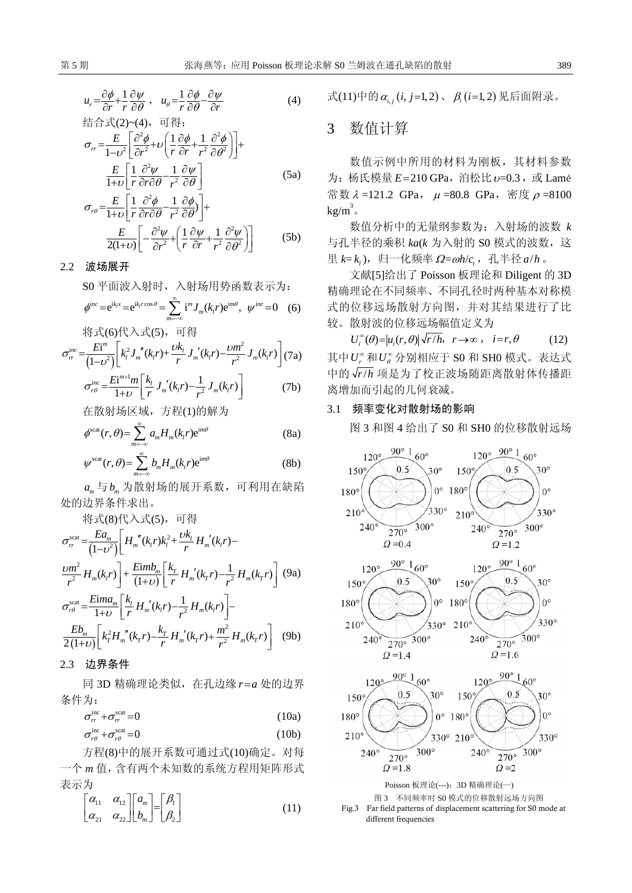$$
u_r = \frac{\partial \phi}{\partial r} + \frac{1}{r} \frac{\partial \psi}{\partial \theta}, \quad u_{\theta} = \frac{1}{r} \frac{\partial \phi}{\partial \theta} - \frac{\partial \psi}{\partial r}
$$
  
\n
$$
\stackrel{\text{def}}{\Leftrightarrow} \stackrel{\rightarrow}{\text{def}}(2) \sim (4), \quad \overline{\text{H}} \stackrel{\text{def}}{\llcorner} \frac{\partial \phi}{\partial \theta}.
$$
 (4)

$$
\sigma_{rr} = \frac{E}{1 - \nu^2} \left[ \frac{\partial^2 \phi}{\partial r^2} + \nu \left( \frac{1}{r} \frac{\partial \phi}{\partial r} + \frac{1}{r^2} \frac{\partial^2 \phi}{\partial \theta^2} \right) \right] +
$$
  

$$
\frac{E}{1 + \nu} \left[ \frac{1}{r} \frac{\partial^2 \psi}{\partial r \partial \theta} - \frac{1}{r^2} \frac{\partial \psi}{\partial \theta} \right]
$$
(5a)

$$
1+\nu\left[r\frac{\partial r\partial\theta}{r^2}\frac{\partial \theta}{\partial \theta}\right]
$$
\n
$$
\sigma_{r\theta} = \frac{E}{1+\nu}\left[\frac{1}{r}\frac{\partial^2 \phi}{\partial r\partial \theta} - \frac{1}{r^2}\frac{\partial \phi}{\partial \theta}\right] +
$$
\n
$$
\frac{E}{2(1+\nu)}\left[-\frac{\partial^2 \psi}{\partial r^2} + \left(\frac{1}{r}\frac{\partial \psi}{\partial r} + \frac{1}{r^2}\frac{\partial^2 \psi}{\partial \theta^2}\right)\right]
$$
\n(5b)

2.2 波场展开

S0 平面波入射时,入射场用势函数表示为:

$$
\phi^{\text{inc}} = e^{ik_j x} = e^{ik_j r \cos \theta} = \sum_{m=-\infty}^{\infty} i^m J_m(k_j r) e^{im\theta}, \quad \psi^{\text{inc}} = 0 \quad (6)
$$

将式(6)代入式(5),可得

$$
\sigma_{rr}^{inc} = \frac{Ei^{m}}{(1-v^{2})} \left[ k_{i}^{2} J_{m}^{''}(k_{i}r) + \frac{vk_{i}}{r} J_{m}^{'}(k_{i}r) - \frac{vm^{2}}{r^{2}} J_{m}(k_{i}r) \right] (7a)
$$

$$
\sigma_{r\theta}^{inc} = \frac{Ei^{m+1}m}{1+v} \left[ \frac{k_{i}}{r} J_{m}^{'}(k_{i}r) - \frac{1}{r^{2}} J_{m}(k_{i}r) \right] (7b)
$$

$$
\sigma_{r\theta}^{\pi} = \frac{1}{1+\nu} \left[ \frac{1}{r} J_m(k_1 r) - \frac{1}{r^2} J_m(k_1 r) \right]
$$
(7b)

在散射场区域,方程(1)的解为

$$
\phi^{\text{scat}}(r,\theta) = \sum_{m=-\infty}^{\infty} a_m H_m(k_i r) e^{im\theta}
$$
 (8a)

$$
\psi^{\text{scat}}(r,\theta) = \sum_{m=-\infty}^{\infty} b_m H_m(k_r r) e^{im\theta}
$$
 (8b)

 $a_{\scriptscriptstyle{\text{m}}}$ 与 $b_{\scriptscriptstyle{\text{m}}}$ 为散射场的展开系数,可利用在缺陷 处的边界条件求出。

将式(8)代入式(5),可得

$$
\sigma_{rr}^{\text{scat}} = \frac{E a_m}{(1 - v^2)} \left[ H_m''(k_i r) k_i^2 + \frac{v k_i}{r} H_m'(k_i r) - \frac{v m^2}{r^2} H_m(k_i r) \right] + \frac{E i m b_m}{(1 + v)} \left[ \frac{k_T}{r} H_m'(k_r r) - \frac{1}{r^2} H_m(k_r r) \right] \tag{9a}
$$
\n
$$
\sigma_{r\theta}^{\text{scat}} = \frac{E i m a_m}{1 + v} \left[ \frac{k_i}{r} H_m'(k_i r) - \frac{1}{r^2} H_m(k_i r) \right] - \frac{E b_m}{2(1 + v)} \left[ k_i^2 H_m''(k_r r) - \frac{k_T}{r} H_m'(k_r r) + \frac{m^2}{r^2} H_m(k_r r) \right] \tag{9b}
$$

2.3 边界条件

同 3D 精确理论类似, 在孔边缘  $r = a$  处的边界 条件为:

$$
\sigma_{rr}^{\text{inc}} + \sigma_{rr}^{\text{scat}} = 0 \tag{10a}
$$

$$
\sigma_{r\theta}^{\text{inc}} + \sigma_{r\theta}^{\text{scat}} = 0 \tag{10b}
$$

方程(8)中的展开系数可通过式(10)确定。对每 一个 *m* 值,含有两个未知数的系统方程用矩阵形式 表示为

$$
\begin{bmatrix} \alpha_{11} & \alpha_{12} \\ \alpha_{21} & \alpha_{22} \end{bmatrix} \begin{bmatrix} a_m \\ b_m \end{bmatrix} = \begin{bmatrix} \beta_1 \\ \beta_2 \end{bmatrix} \tag{11}
$$

式(11)中的  $\alpha_{i}$ , (*i*, *j*=1,2)、  $\beta_{i}$  (*i*=1,2) 见后面附录。

## 3 数值计算

数值示例中所用的材料为刚板,其材料参数 为: 杨氏模量  $E=210$  GPa, 泊松比  $\nu$ =0.3, 或 Lamé 常数  $λ = 121.2$  GPa,  $μ = 80.8$  GPa, 密度  $ρ = 8100$  $kg/m^3$  .

数值分析中的无量纲参数为:入射场的波数 *k* 与孔半径的乘积 *ka*(*k* 为入射的 S0 模式的波数,这 里  $k=k$ , ), 归一化频率 Ω=ωh/c, 孔半径 a/h 。

文献[5]给出了 Poisson 板理论和 Diligent 的 3D 精确理论在不同频率、不同孔径时两种基本对称模 式的位移远场散射方向图,并对其结果进行了比 较。散射波的位移远场幅值定义为

 $U_i^{\infty}(\theta) = |u_i(r, \theta)| \sqrt{r/h}, \quad r \to \infty, \quad i = r, \theta$  (12) 其中 $U_r^\infty$ 和 $U_\theta^\infty$ 分别相应于 S0 和 SH0 模式。表达式 中的  $\sqrt{\frac{r}{h}}$  项是为了校正波场随距离散射体传播距 离增加而引起的几何衰减。

#### 3.1 频率变化对散射场的影响

图 3 和图 4 给出了 S0 和 SH0 的位移散射远场

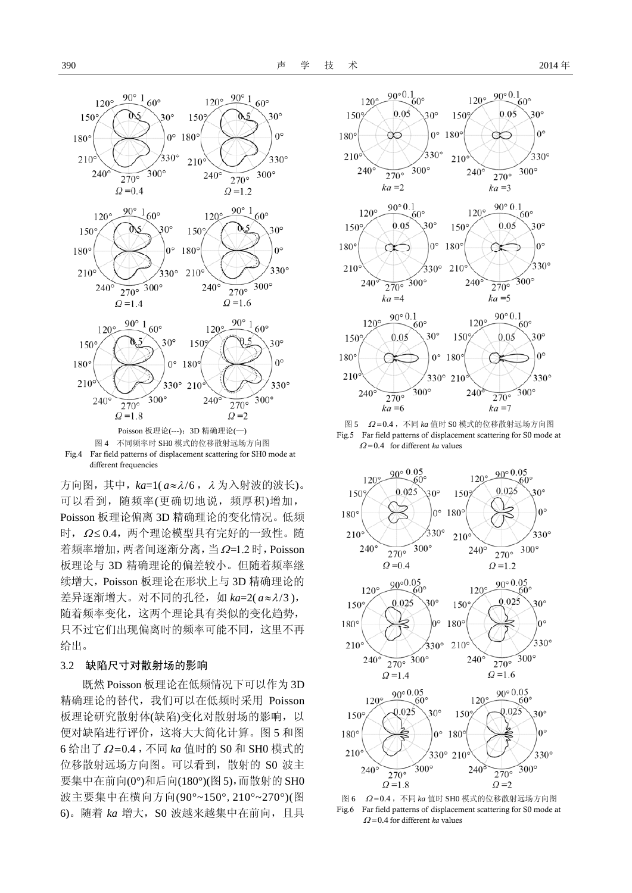

Fig.4 Far field patterns of displacement scattering for SH0 mode at different frequencies

方向图,其中,*ka*=1( *a*≈λ/6 ,<sup>λ</sup> 为入射波的波长)。 可以看到,随频率(更确切地说,频厚积)增加, Poisson 板理论偏离 3D 精确理论的变化情况。低频 时, Ω≤0.4, 两个理论模型具有完好的一致性。随 着频率增加, 两者间逐渐分离, 当 $\Omega$ =1.2 时, Poisson 板理论与 3D 精确理论的偏差较小。但随着频率继 续增大,Poisson 板理论在形状上与 3D 精确理论的 差异逐渐增大。对不同的孔径,如 *ka=*2(a≈λ/3), 随着频率变化,这两个理论具有类似的变化趋势, 只不过它们出现偏离时的频率可能不同,这里不再 给出。

#### 3.2 缺陷尺寸对散射场的影响

既然 Poisson 板理论在低频情况下可以作为 3D 精确理论的替代,我们可以在低频时采用 Poisson 板理论研究散射体(缺陷)变化对散射场的影响,以 便对缺陷进行评价,这将大大简化计算。图 5 和图 6 给出了 Ω=0.4,不同 ka 值时的 S0 和 SH0 模式的 位移散射远场方向图。可以看到,散射的 S0 波主 要集中在前向(0°)和后向(180°)(图 5),而散射的 SH0 波主要集中在横向方向(90°~150°,210°~270°)(图 6)。随着 *ka* 增大,S0 波越来越集中在前向,且具



图 5 <sup>Ω</sup> =0.4 ,不同 *ka* 值时 S0 模式的位移散射远场方向图 Fig.5 Far field patterns of displacement scattering for S0 mode at  $\Omega = 0.4$  for different *ka* values



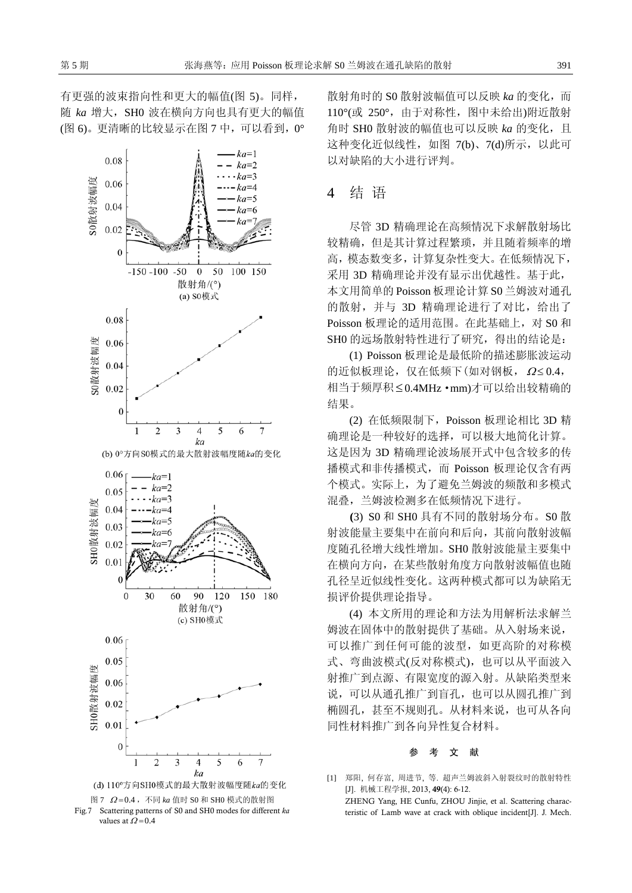有更强的波束指向性和更大的幅值(图 5)。同样, 随 *ka* 增大,SH0 波在横向方向也具有更大的幅值 (图 6)。更清晰的比较显示在图 7 中,可以看到,0°



Fig.7 Scattering patterns of S0 and SH0 modes for different *ka* values at  $\Omega$  = 0.4

散射角时的 S0 散射波幅值可以反映 *ka* 的变化,而 110°(或 250°,由于对称性,图中未给出)附近散射 角时 SH0 散射波的幅值也可以反映 ka 的变化, 且 这种变化近似线性, 如图 7(b)、7(d)所示, 以此可 以对缺陷的大小进行评判。

## 4 结 语

尽管 3D 精确理论在高频情况下求解散射场比 较精确,但是其计算过程繁琐,并且随着频率的增 高,模态数变多,计算复杂性变大。在低频情况下, 采用 3D 精确理论并没有显示出优越性。基于此, 本文用简单的 Poisson 板理论计算 S0 兰姆波对通孔 的散射,并与 3D 精确理论进行了对比,给出了 Poisson 板理论的适用范围。在此基础上,对 S0 和 SH0 的远场散射特性进行了研究,得出的结论是:

(1) Poisson 板理论是最低阶的描述膨胀波运动 的近似板理论, 仅在低频下(如对钢板,  $Ω ≤ 0.4$ , 相当于频厚积≤0.4MHz·mm)才可以给出较精确的 结果。

(2) 在低频限制下,Poisson 板理论相比 3D 精 确理论是一种较好的选择,可以极大地简化计算。 这是因为 3D 精确理论波场展开式中包含较多的传 播模式和非传播模式,而 Poisson 板理论仅含有两 个模式。实际上,为了避免兰姆波的频散和多模式 混叠,兰姆波检测多在低频情况下进行。

**(**3) S0 和 SH0 具有不同的散射场分布。S0 散 射波能量主要集中在前向和后向,其前向散射波幅 度随孔径增大线性增加。SH0 散射波能量主要集中 在横向方向,在某些散射角度方向散射波幅值也随 孔径呈近似线性变化。这两种模式都可以为缺陷无 损评价提供理论指导。

(4) 本文所用的理论和方法为用解析法求解兰 姆波在固体中的散射提供了基础。从入射场来说, 可以推广到任何可能的波型,如更高阶的对称模 式、弯曲波模式(反对称模式),也可以从平面波入 射推广到点源、有限宽度的源入射。从缺陷类型来 说,可以从通孔推广到盲孔,也可以从圆孔推广到 椭圆孔,甚至不规则孔。从材料来说,也可从各向 同性材料推广到各向异性复合材料。

#### 参考文献

[1] 郑阳, 何存富, 周进节, 等. 超声兰姆波斜入射裂纹时的散射特性 [J]. 机械工程学报, 2013, 49(4): 6-12. ZHENG Yang, HE Cunfu, ZHOU Jinjie, et al. Scattering characteristic of Lamb wave at crack with oblique incident[J]. J. Mech.